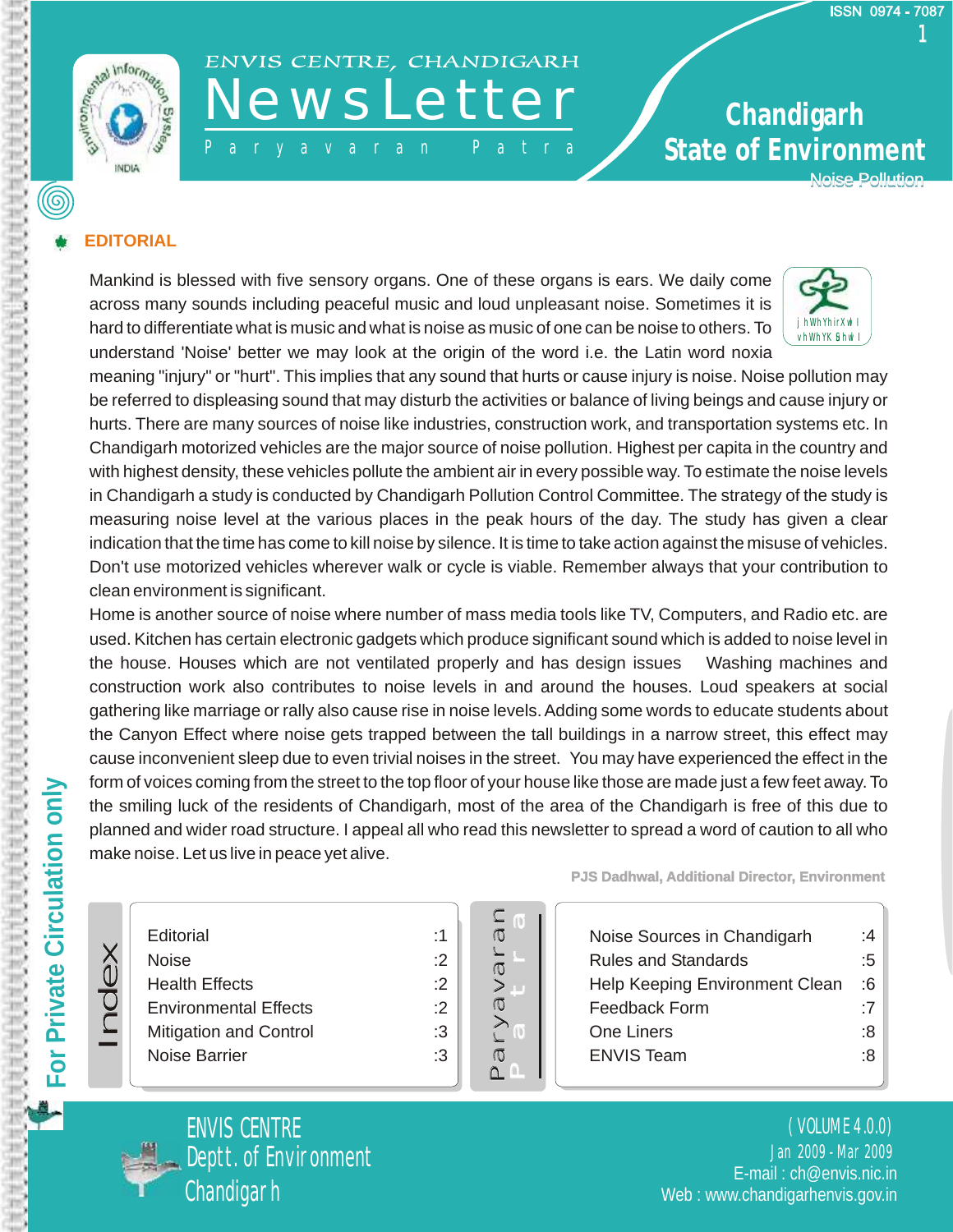

# ENVIS CENTRE, CHANDIGARH

- P a r y a v a r a n P a t r a

### **State of Environment Chandigarh**  Noise Pollution

### **EDITORIAL**

Mankind is blessed with five sensory organs. One of these organs is ears. We daily come across many sounds including peaceful music and loud unpleasant noise. Sometimes it is hard to differentiate what is music and what is noise as music of one can be noise to others. To understand 'Noise' better we may look at the origin of the word i.e. the Latin word noxia



meaning "injury" or "hurt". This implies that any sound that hurts or cause injury is noise. Noise pollution may be referred to displeasing sound that may disturb the activities or balance of living beings and cause injury or hurts. There are many sources of noise like industries, construction work, and transportation systems etc. In Chandigarh motorized vehicles are the major source of noise pollution. Highest per capita in the country and with highest density, these vehicles pollute the ambient air in every possible way. To estimate the noise levels in Chandigarh a study is conducted by Chandigarh Pollution Control Committee. The strategy of the study is measuring noise level at the various places in the peak hours of the day. The study has given a clear indication that the time has come to kill noise by silence. It is time to take action against the misuse of vehicles. Don't use motorized vehicles wherever walk or cycle is viable. Remember always that your contribution to clean environment is significant.

Home is another source of noise where number of mass media tools like TV, Computers, and Radio etc. are used. Kitchen has certain electronic gadgets which produce significant sound which is added to noise level in the house. Houses which are not ventilated properly and has design issues Washing machines and construction work also contributes to noise levels in and around the houses. Loud speakers at social gathering like marriage or rally also cause rise in noise levels. Adding some words to educate students about the Canyon Effect where noise gets trapped between the tall buildings in a narrow street, this effect may cause inconvenient sleep due to even trivial noises in the street. You may have experienced the effect in the form of voices coming from the street to the top floor of your house like those are made just a few feet away. To the smiling luck of the residents of Chandigarh, most of the area of the Chandigarh is free of this due to planned and wider road structure. I appeal all who read this newsletter to spread a word of caution to all who make noise. Let us live in peace yet alive.

| Editorial                     |
|-------------------------------|
| Noise                         |
| <b>Health Effects</b>         |
| <b>Environmental Effects</b>  |
| <b>Mitigation and Control</b> |
| Noise Barrier                 |
|                               |



:1 :2

:2 :3 :3 **PJS Dadhwal, Additional Director, Environment** 

| Noise Sources in Chandigarh    | ۰4 |
|--------------------------------|----|
| <b>Rules and Standards</b>     | :5 |
| Help Keeping Environment Clean | :6 |
| Feedback Form                  | .7 |
| One Liners                     | ۰8 |
| <b>ENVIS Team</b>              | ۰8 |
|                                |    |



Index

Jan 2009 - Mar 2009 ( VOLUME 4.0.0) Deptt. of Environment E-mail : ch@envis.nic.in Web : www.chandigarhenvis.gov.in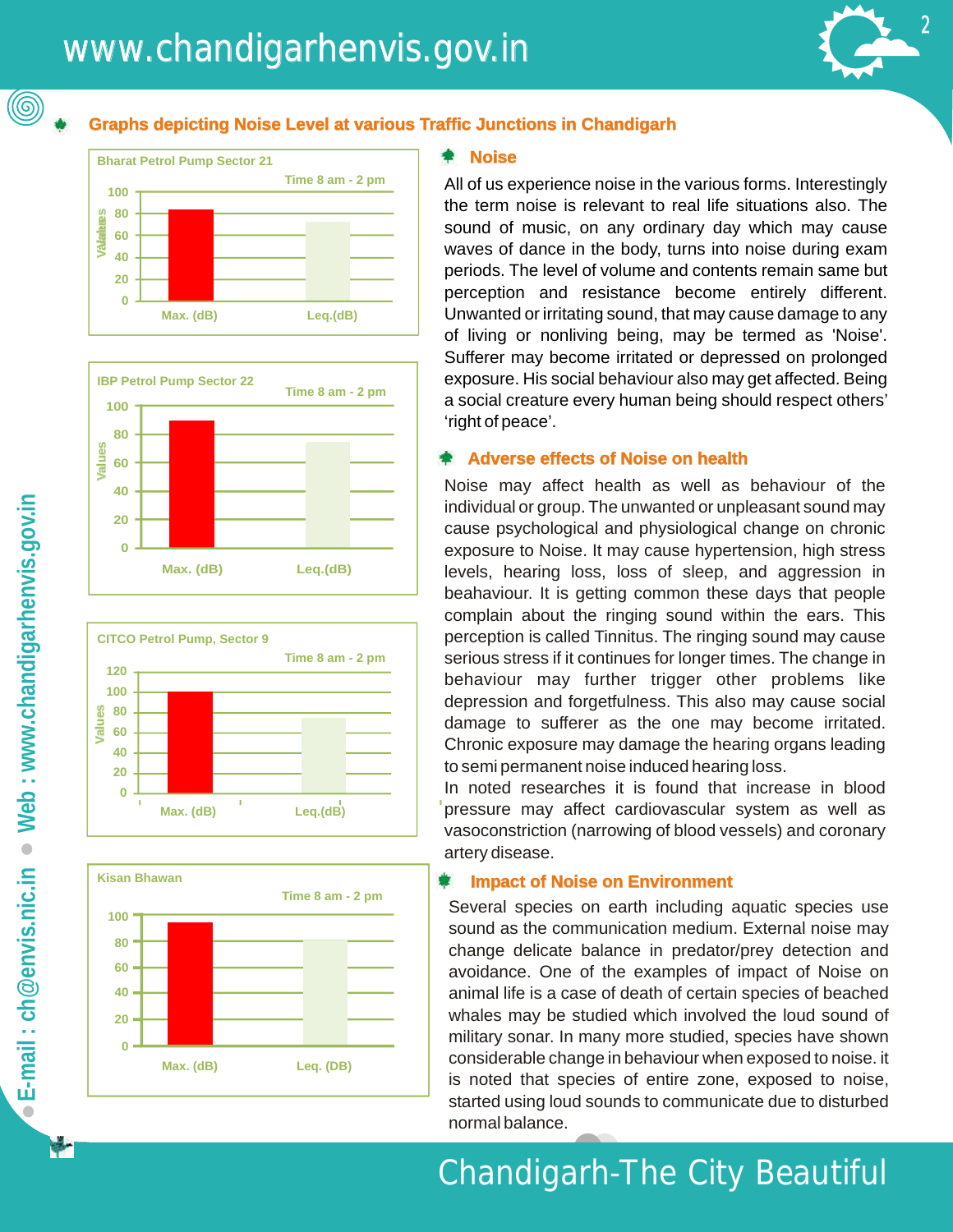(@)

### **Graphs depicting Noise Level at various Traffic Junctions in Chandigarh Chandigarh**









#### **Noise**

All of us experience noise in the various forms. Interestingly the term noise is relevant to real life situations also. The sound of music, on any ordinary day which may cause waves of dance in the body, turns into noise during exam periods. The level of volume and contents remain same but perception and resistance become entirely different. Unwanted or irritating sound, that may cause damage to any of living or nonliving being, may be termed as 'Noise'. Sufferer may become irritated or depressed on prolonged exposure. His social behaviour also may get affected. Being a social creature every human being should respect others' 'right of peace'.

#### Adverse effects of Noise on health

Noise may affect health as well as behaviour of the individual or group. The unwanted or unpleasant sound may cause psychological and physiological change on chronic exposure to Noise. It may cause hypertension, high stress levels, hearing loss, loss of sleep, and aggression in beahaviour. It is getting common these days that people complain about the ringing sound within the ears. This perception is called Tinnitus. The ringing sound may cause serious stress if it continues for longer times. The change in behaviour may further trigger other problems like depression and forgetfulness. This also may cause social damage to sufferer as the one may become irritated. Chronic exposure may damage the hearing organs leading to semi permanent noise induced hearing loss.

In noted researches it is found that increase in blood pressure may affect cardiovascular system as well as vasoconstriction (narrowing of blood vessels) and coronary artery disease.

#### **Impact of Noise on Environment**

Several species on earth including aquatic species use sound as the communication medium. External noise may change delicate balance in predator/prey detection and avoidance. One of the examples of impact of Noise on animal life is a case of death of certain species of beached whales may be studied which involved the loud sound of military sonar. In many more studied, species have shown considerable change in behaviour when exposed to noise. it is noted that species of entire zone, exposed to noise, started using loud sounds to communicate due to disturbed normal balance.

### Chandigarh-The City Beautiful

N.

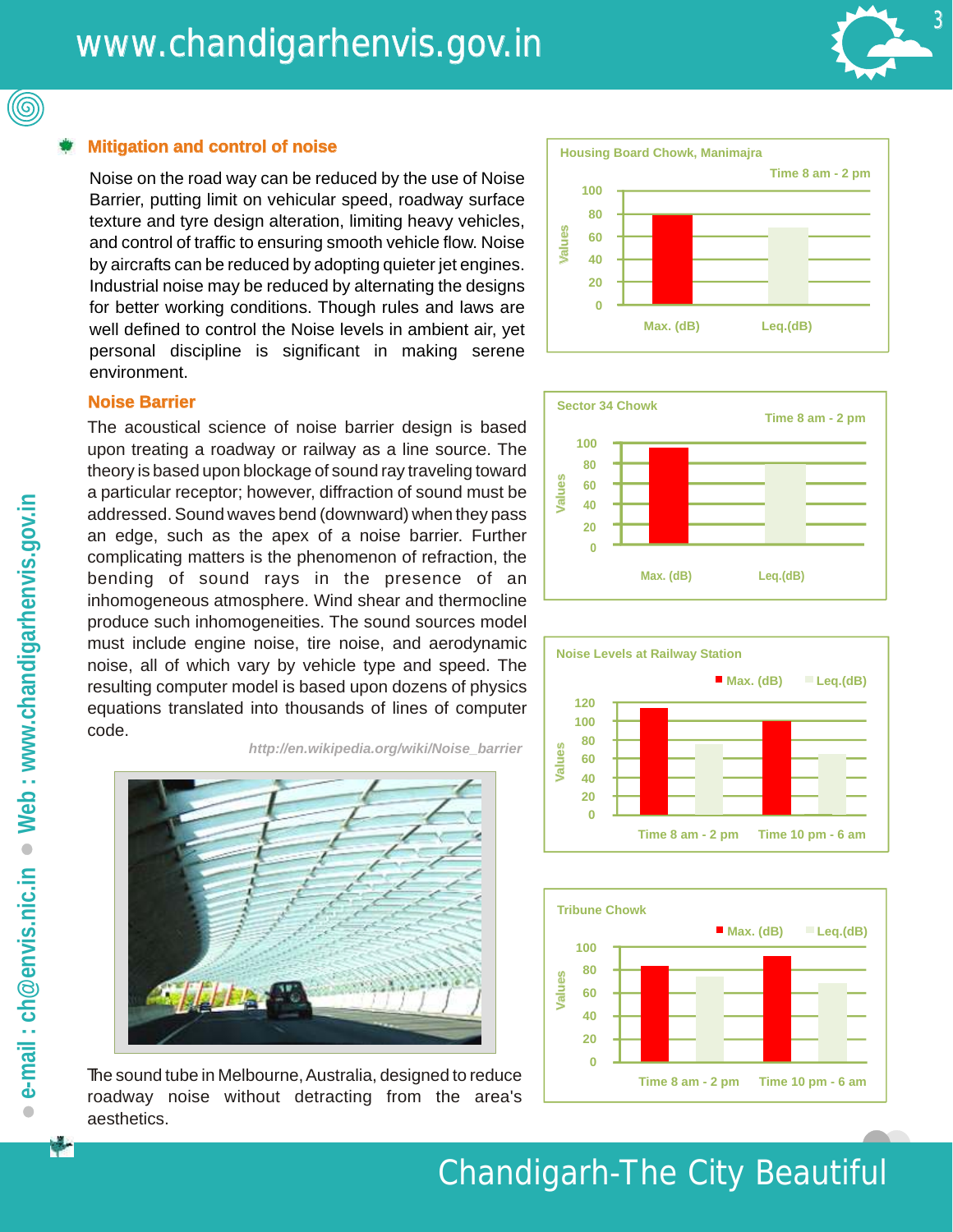

#### **Mitigation and control of noise noise**

Noise on the road way can be reduced by the use of Noise Barrier, putting limit on vehicular speed, roadway surface texture and tyre design alteration, limiting heavy vehicles, and control of traffic to ensuring smooth vehicle flow. Noise by aircrafts can be reduced by adopting quieter jet engines. Industrial noise may be reduced by alternating the designs for better working conditions. Though rules and laws are well defined to control the Noise levels in ambient air, yet personal discipline is significant in making serene environment.



The acoustical science of noise barrier design is based upon treating a roadway or railway as a line source. The theory is based upon blockage of sound ray traveling toward a particular receptor; however, diffraction of sound must be addressed. Sound waves bend (downward) when they pass an edge, such as the apex of a noise barrier. Further complicating matters is the phenomenon of refraction, the bending of sound rays in the presence of an inhomogeneous atmosphere. Wind shear and thermocline produce such inhomogeneities. The sound sources model must include engine noise, tire noise, and aerodynamic noise, all of which vary by vehicle type and speed. The resulting computer model is based upon dozens of physics equations translated into thousands of lines of computer code.









*[http://en.wikipedia.org/wiki/Noise\\_barrier](http://en.wikipedia.org/wiki/Noise_barrier)* 



The sound tube in Melbourne, Australia, designed to reduce roadway noise without detracting from the area's aesthetics.

÷

(©)

### Chandigarh-The City Beautiful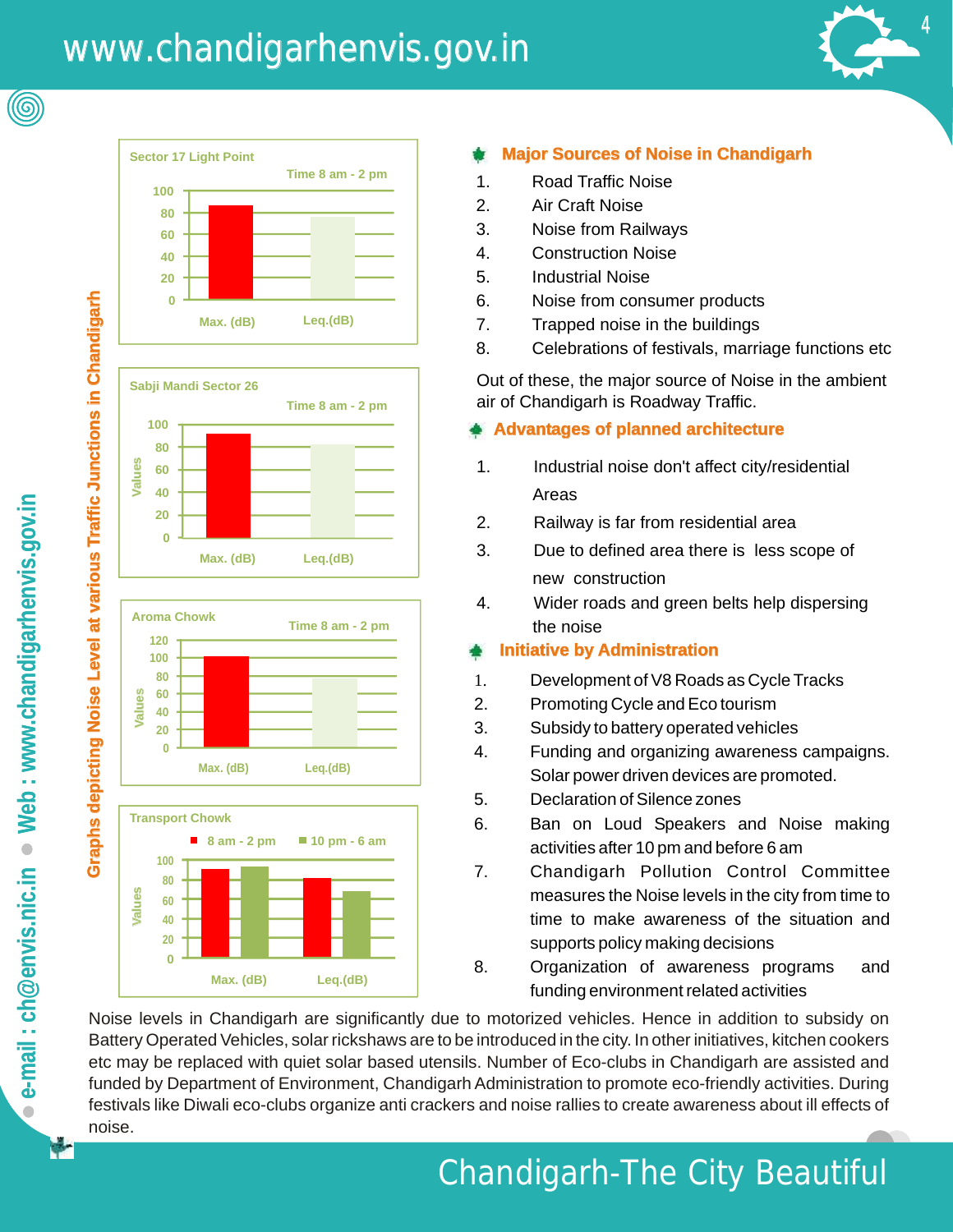# www.chandigarhenvis.gov.in www.chandigarhenvis.gov.in











### **Major Sources of Noise in Chandigarh Chandigarh**

- 1. Road Traffic Noise
- 2. Air Craft Noise
- 3. Noise from Railways
- 4. Construction Noise
- 5. Industrial Noise
- 6. Noise from consumer products
- 7. Trapped noise in the buildings
- 8. Celebrations of festivals, marriage functions etc

Out of these, the major source of Noise in the ambient air of Chandigarh is Roadway Traffic.

### **Advantages of planned architecture**

- 1. Industrial noise don't affect city/residential Areas
- 2. Railway is far from residential area
- 3. Due to defined area there is less scope of new construction
- 4. Wider roads and green belts help dispersing the noise

### **Administration Initiative by Administration**

- 1. Development of V8 Roads as Cycle Tracks
- 2. Promoting Cycle and Eco tourism
- 3. Subsidy to battery operated vehicles
- [4. Funding and organizing awareness campaigns.](http://) Solar power driven devices are promoted.
- 5. Declaration of Silence zones
- 6. Ban on Loud Speakers and Noise making activities after 10 pm and before 6 am
- 7. Chandigarh Pollution Control Committee measures the Noise levels in the city from time to time to make awareness of the situation and supports policy making decisions
- 8. Organization of awareness programs and funding environment related activities

[Noise levels in Chandigarh are significantly due to motorized vehicles. Hence in addition to subsidy on](http://) Battery Operated Vehicles, solar rickshaws are to be introduced in the city. In other initiatives, kitchen cookers etc may be replaced with quiet solar based utensils. Number of Eco-clubs in Chandigarh are assisted and funded by Department of Environment, Chandigarh Administration to promote eco-friendly activities. During festivals like Diwali eco-clubs organize anti crackers and noise rallies to create awareness about ill effects of noise.

(©

## Chandigarh-The City Beautiful Beautiful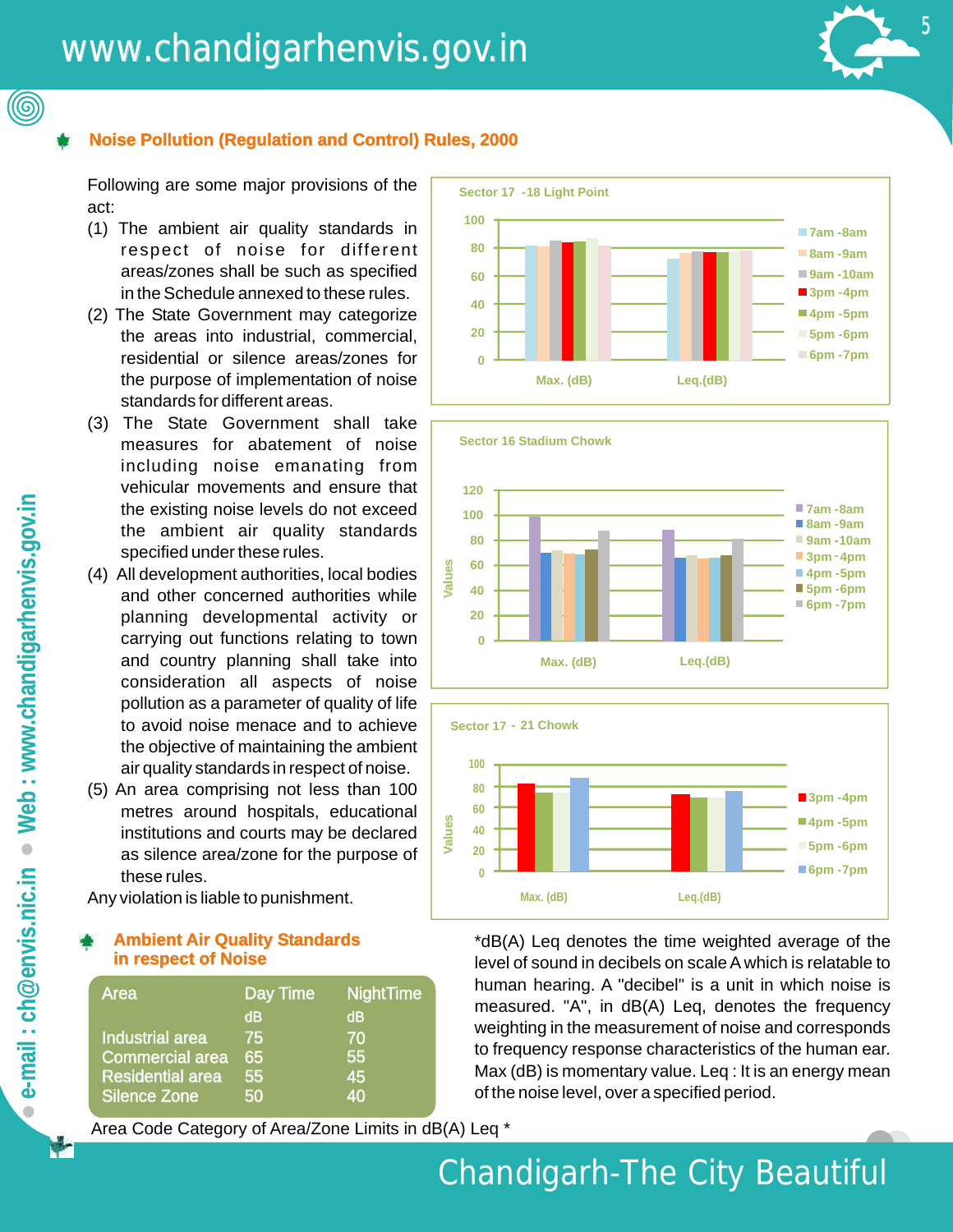### www.chandigarhenvis.gov.in www.chandigarhenvis.gov.in



### **Noise Pollution (Regulation and Control) Rules, 2000 2000**

Following are some major provisions of the act:

- (1) The ambient air quality standards in respect of noise for different areas/zones shall be such as specified in the Schedule annexed to these rules.
- (2) The State Government may categorize the areas into industrial, commercial, residential or silence areas/zones for the purpose of implementation of noise standards for different areas.
- (3) The State Government shall take measures for abatement of noise including noise emanating from vehicular movements and ensure that the existing noise levels do not exceed the ambient air quality standards specified under these rules.
- (4) All development authorities, local bodies and other concerned authorities while planning developmental activity or carrying out functions relating to town and country planning shall take into consideration all aspects of noise pollution as a parameter of quality of life to avoid noise menace and to achieve the objective of maintaining the ambient air quality standards in respect of noise.
- (5) An area comprising not less than 100 metres around hospitals, educational institutions and courts may be declared as silence area/zone for the purpose of these rules.

Any violation is liable to punishment.

### **Ambient Air Quality Standards in respect of Noise**

| Area                    | Day Time | <b>NightTime</b> |
|-------------------------|----------|------------------|
|                         | dB       | dB               |
| Industrial area         | 75       | 70               |
| <b>Commercial area</b>  | 65       | 55               |
| <b>Residential area</b> | 55       | 45               |
| <b>Silence Zone</b>     | 50       | 40               |

Area Code Category of Area/Zone Limits in dB(A) Leq \*







\*dB(A) Leq denotes the time weighted average of the level of sound in decibels on scale A which is relatable to human hearing. A "decibel" is a unit in which noise is measured. "A", in dB(A) Leq, denotes the frequency weighting in the measurement of noise and corresponds to frequency response characteristics of the human ear. Max (dB) is momentary value. Leg : It is an energy mean of the noise level, over a specified period.

(©)

### Chandigarh-The City Beautiful Beautiful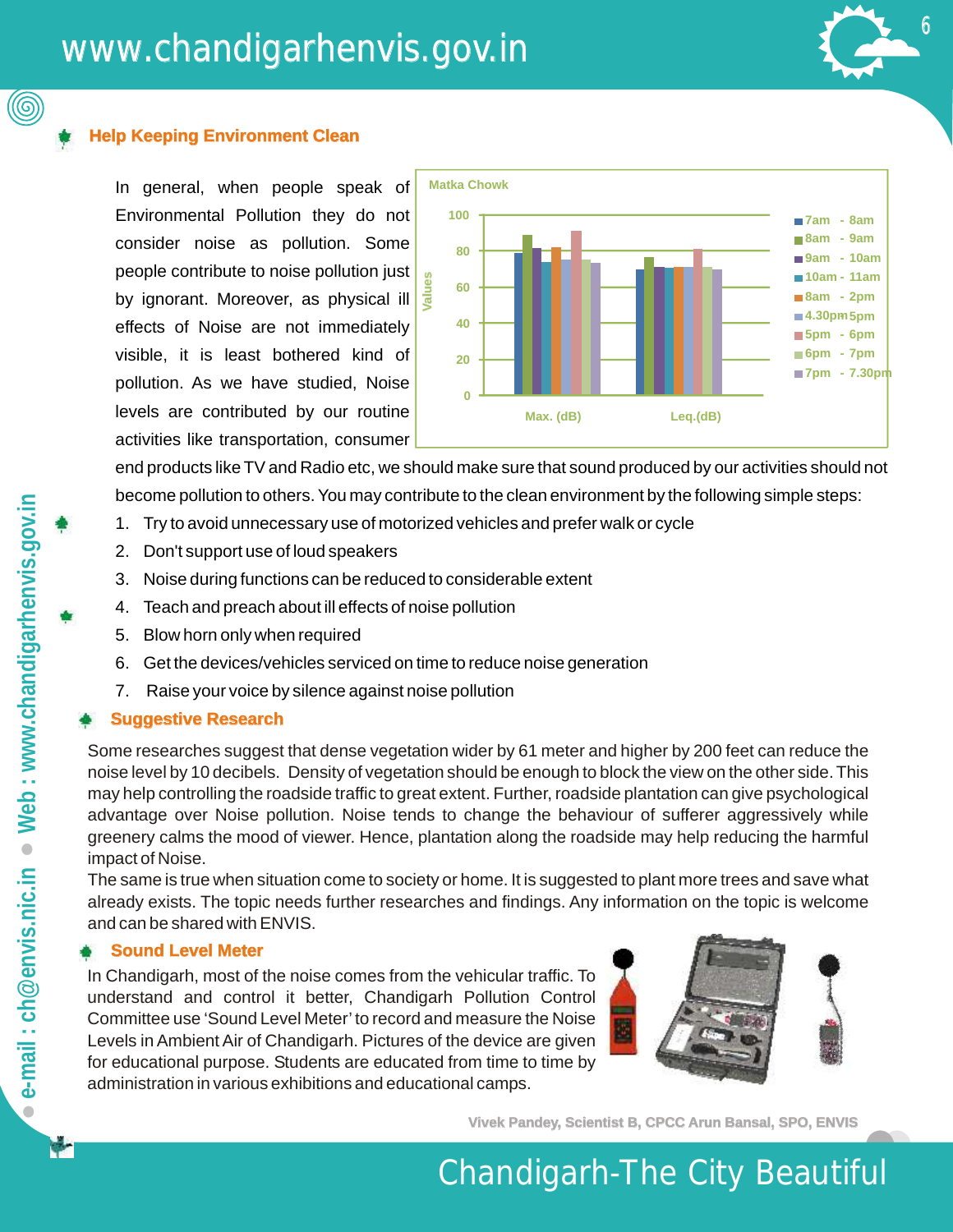

In general, when people speak of Environmental Pollution they do not consider noise as pollution. Some people contribute to noise pollution just people contribute to noise pollution just<br>by ignorant. Moreover, as physical ill effects of Noise are not immediately visible, it is least bothered kind of pollution. As we have studied, Noise levels are contributed by our routine activities like transportation, consumer



6 5 6

end products like TV and Radio etc, we should make sure that sound produced by our activities should not become pollution to others. You may contribute to the clean environment by the following simple steps:

- 1. Try to avoid unnecessary use of motorized vehicles and prefer walk or cycle
- 2. Don't support use of loud speakers
- 3. Noise during functions can be reduced to considerable extent
- 4. Teach and preach about ill effects of noise pollution
- 5. Blow horn only when required
- 6. Get the devices/vehicles serviced on time to reduce noise generation
- 7. Raise your voice by silence against noise pollution

### **Suggestive Research**

Some researches suggest that dense vegetation wider by 61 meter and higher by 200 feet can reduce the noise level by 10 decibels. Density of vegetation should be enough to block the view on the other side. This may help controlling the roadside traffic to great extent. Further, roadside plantation can give psychological advantage over Noise pollution. Noise tends to change the behaviour of sufferer aggressively while greenery calms the mood of viewer. Hence, plantation along the roadside may help reducing the harmful impact of Noise.

The same is true when situation come to society or home. It is suggested to plant more trees and save what already exists. The topic needs further researches and findings. Any information on the topic is welcome and can be shared with ENVIS.

### **Sound Level Meter Meter**

In Chandigarh, most of the noise comes from the vehicular traffic. To understand and control it better, Chandigarh Pollution Control Committee use 'Sound Level Meter' to record and measure the Noise Levels in Ambient Air of Chandigarh. Pictures of the device are given for educational purpose. Students are educated from time to time by administration in various exhibitions and educational camps.



**Vivek Pandey, Scientist B, CPCC Arun Bansal, SPO, ENVIS ENVIS** 

### Chandigarh-The City Beautiful Beautiful

(@)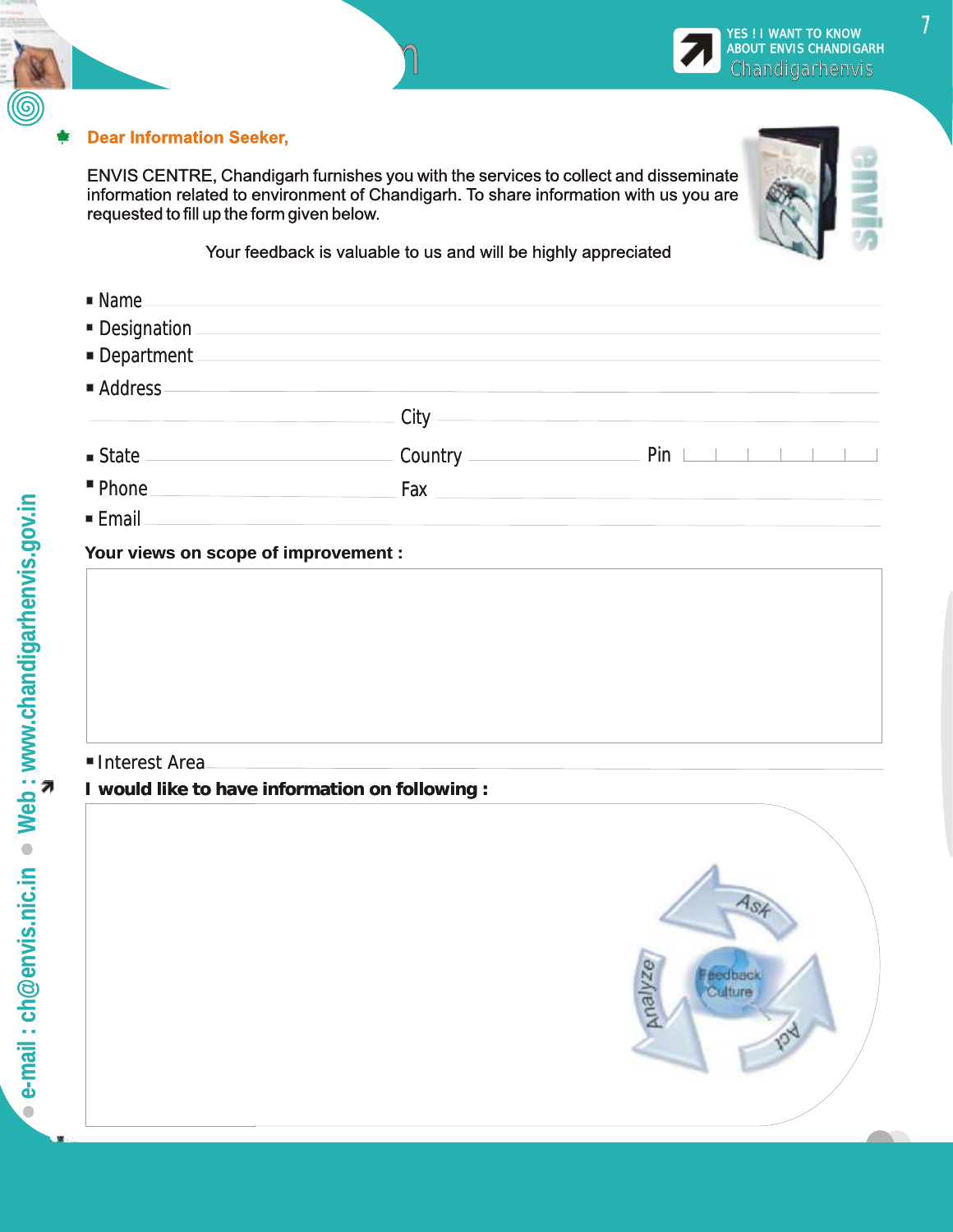

Feedback Centre FeedbackFeedb

ENVIS CENTRE, Chandigarh furnishes you with the services to collect and disseminate information related to environment of Chandigarh. To share information with us you are requested to fill up the form given below.

 $n$ 

Your feedback is valuable to us and will be highly appreciated

| $\blacksquare$ Name |                                                                                                                                                                                                                                |                                     |
|---------------------|--------------------------------------------------------------------------------------------------------------------------------------------------------------------------------------------------------------------------------|-------------------------------------|
| Designation         |                                                                                                                                                                                                                                |                                     |
| Department          |                                                                                                                                                                                                                                |                                     |
| Address-            |                                                                                                                                                                                                                                |                                     |
|                     | - City ————                                                                                                                                                                                                                    |                                     |
|                     |                                                                                                                                                                                                                                | $Pin \perp \perp \perp \perp \perp$ |
| " Phone.            | Fax and the state of the state of the state of the state of the state of the state of the state of the state of the state of the state of the state of the state of the state of the state of the state of the state of the st |                                     |
| ■ Email             |                                                                                                                                                                                                                                |                                     |

#### **Your views on scope of improvement : :**

### Interest Area Area

**I would like to have information on following : :** 



YES ! I WANT TO KNOW ABOUT ENVIS CHANDIGARH **KES ! I WANT TO KNOW BOUT ENVIS CHANDIGARE**